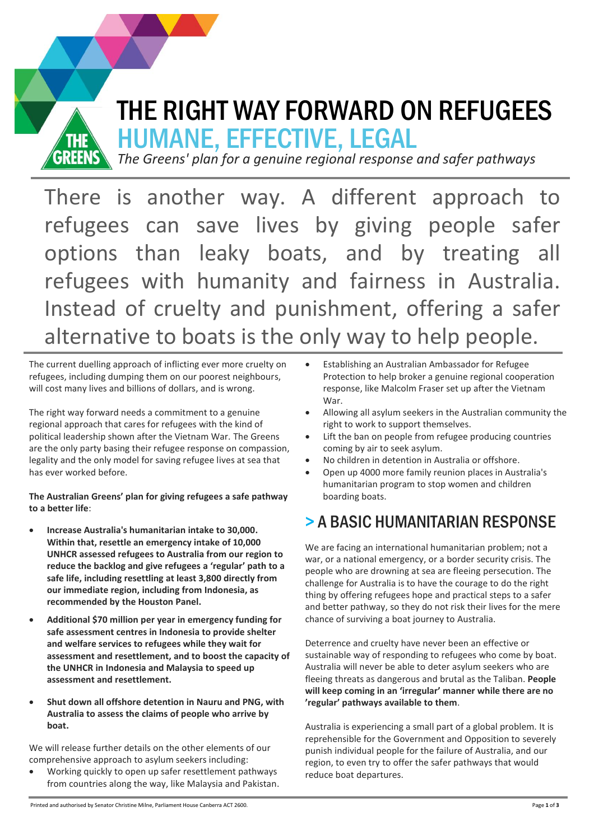

HUMANE, EFFECTIVE, LEGAL

*The Greens' plan for a genuine regional response and safer pathways* 

There is another way. A different approach to refugees can save lives by giving people safer options than leaky boats, and by treating all refugees with humanity and fairness in Australia. Instead of cruelty and punishment, offering a safer alternative to boats is the only way to help people.

The current duelling approach of inflicting ever more cruelty on refugees, including dumping them on our poorest neighbours, will cost many lives and billions of dollars, and is wrong.

The right way forward needs a commitment to a genuine regional approach that cares for refugees with the kind of political leadership shown after the Vietnam War. The Greens are the only party basing their refugee response on compassion, legality and the only model for saving refugee lives at sea that has ever worked before.

The Australian Greens' plan for giving refugees a safe pathway to a better life:

- **Increase Australia's humanitarian intake to 30,000.** Within that, resettle an emergency intake of 10,000 **UNHCR** assessed refugees to Australia from our region to **reduce the backlog and give refugees a 'regular' path to a** safe life, including resettling at least 3,800 directly from **our&immediate&region,&including from Indonesia, as&** recommended by the Houston Panel.
- Additional \$70 million per year in emergency funding for safe assessment centres in Indonesia to provide shelter **and&welfare&services to&refugees while&they&wait&for& assessment&and&resettlement,&and&to&boost&the capacity&of&** the UNHCR in Indonesia and Malaysia to speed up assessment and resettlement.
- **Shut down all offshore detention in Nauru and PNG, with** Australia to assess the claims of people who arrive by **boat.**

We will release further details on the other elements of our comprehensive approach to asylum seekers including:

Working quickly to open up safer resettlement pathways from countries along the way, like Malaysia and Pakistan.

- Establishing an Australian Ambassador for Refugee Protection to help broker a genuine regional cooperation response, like Malcolm Fraser set up after the Vietnam War.
- Allowing all asylum seekers in the Australian community the right to work to support themselves.
- Lift the ban on people from refugee producing countries coming by air to seek asylum.
- No children in detention in Australia or offshore.
- Open up 4000 more family reunion places in Australia's humanitarian program to stop women and children boarding boats.

# > A BASIC HUMANITARIAN RESPONSE

We are facing an international humanitarian problem; not a war, or a national emergency, or a border security crisis. The people who are drowning at sea are fleeing persecution. The challenge for Australia is to have the courage to do the right thing by offering refugees hope and practical steps to a safer and better pathway, so they do not risk their lives for the mere chance of surviving a boat journey to Australia.

Deterrence and cruelty have never been an effective or sustainable way of responding to refugees who come by boat. Australia will never be able to deter asylum seekers who are fleeing threats as dangerous and brutal as the Taliban. People **will keep coming in an 'irregular' manner while there are no** 'regular' pathways available to them.

Australia is experiencing a small part of a global problem. It is reprehensible for the Government and Opposition to severely punish individual people for the failure of Australia, and our region, to even try to offer the safer pathways that would reduce boat departures.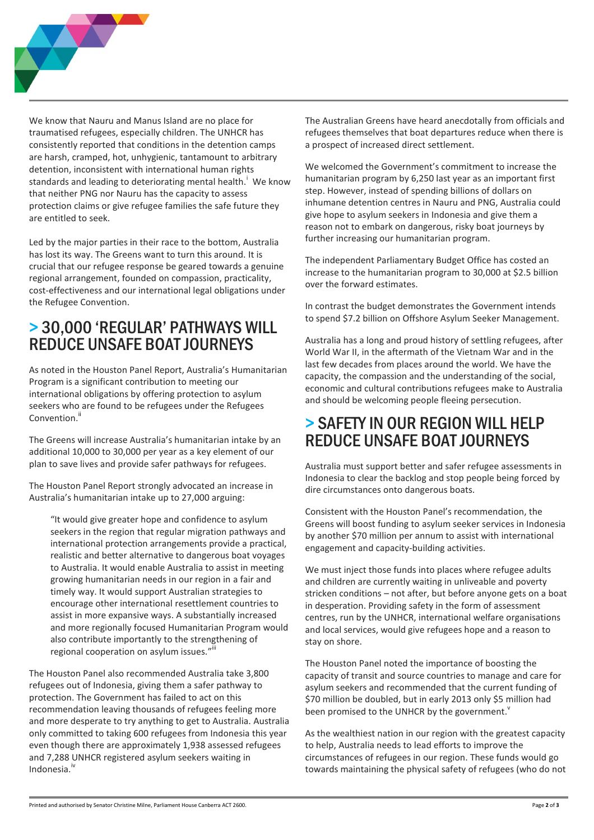

We know that Nauru and Manus Island are no place for traumatised refugees, especially children. The UNHCR has consistently reported that conditions in the detention camps are harsh, cramped, hot, unhygienic, tantamount to arbitrary detention, inconsistent with international human rights standards and leading to deteriorating mental health. We know that neither PNG nor Nauru has the capacity to assess protection claims or give refugee families the safe future they are entitled to seek.

Led by the major parties in their race to the bottom, Australia has lost its way. The Greens want to turn this around. It is crucial that our refugee response be geared towards a genuine regional arrangement, founded on compassion, practicality, cost-effectiveness and our international legal obligations under the Refugee Convention.

#### > 30,000 'REGULAR' PATHWAYS WILL **REDUCE UNSAFE BOAT JOURNEYS**

As noted in the Houston Panel Report, Australia's Humanitarian Program is a significant contribution to meeting our international obligations by offering protection to asylum seekers who are found to be refugees under the Refugees Convention.<sup>ii</sup>

The Greens will increase Australia's humanitarian intake by an additional 10,000 to 30,000 per year as a key element of our plan to save lives and provide safer pathways for refugees.

The Houston Panel Report strongly advocated an increase in Australia's humanitarian intake up to 27,000 arguing:

"It would give greater hope and confidence to asylum seekers in the region that regular migration pathways and international protection arrangements provide a practical, realistic and better alternative to dangerous boat voyages to Australia. It would enable Australia to assist in meeting growing humanitarian needs in our region in a fair and timely way. It would support Australian strategies to encourage other international resettlement countries to assist in more expansive ways. A substantially increased and more regionally focused Humanitarian Program would also contribute importantly to the strengthening of regional cooperation on asylum issues."

The Houston Panel also recommended Australia take 3,800 refugees out of Indonesia, giving them a safer pathway to protection. The Government has failed to act on this recommendation leaving thousands of refugees feeling more and more desperate to try anything to get to Australia. Australia only committed to taking 600 refugees from Indonesia this year even though there are approximately 1,938 assessed refugees and 7,288 UNHCR registered asylum seekers waiting in Indonesia.<sup>iv</sup>

The Australian Greens have heard anecdotally from officials and refugees themselves that boat departures reduce when there is a prospect of increased direct settlement.

We welcomed the Government's commitment to increase the humanitarian program by 6,250 last year as an important first step. However, instead of spending billions of dollars on inhumane detention centres in Nauru and PNG, Australia could give hope to asylum seekers in Indonesia and give them a reason not to embark on dangerous, risky boat journeys by further increasing our humanitarian program.

The independent Parliamentary Budget Office has costed an increase to the humanitarian program to 30,000 at \$2.5 billion over the forward estimates.

In contrast the budget demonstrates the Government intends to spend \$7.2 billion on Offshore Asylum Seeker Management.

Australia has a long and proud history of settling refugees, after World War II, in the aftermath of the Vietnam War and in the last few decades from places around the world. We have the capacity, the compassion and the understanding of the social, economic and cultural contributions refugees make to Australia and should be welcoming people fleeing persecution.

#### > SAFETY IN OUR REGION WILL HELP **REDUCE UNSAFE BOAT JOURNEYS**

Australia must support better and safer refugee assessments in Indonesia to clear the backlog and stop people being forced by dire circumstances onto dangerous boats.

Consistent with the Houston Panel's recommendation, the Greens will boost funding to asylum seeker services in Indonesia by another \$70 million per annum to assist with international engagement and capacity-building activities.

We must inject those funds into places where refugee adults and children are currently waiting in unliveable and poverty stricken conditions - not after, but before anyone gets on a boat in desperation. Providing safety in the form of assessment centres, run by the UNHCR, international welfare organisations and local services, would give refugees hope and a reason to stay on shore.

The Houston Panel noted the importance of boosting the capacity of transit and source countries to manage and care for asylum seekers and recommended that the current funding of \$70 million be doubled, but in early 2013 only \$5 million had been promised to the UNHCR by the government.

As the wealthiest nation in our region with the greatest capacity to help, Australia needs to lead efforts to improve the circumstances of refugees in our region. These funds would go towards maintaining the physical safety of refugees (who do not